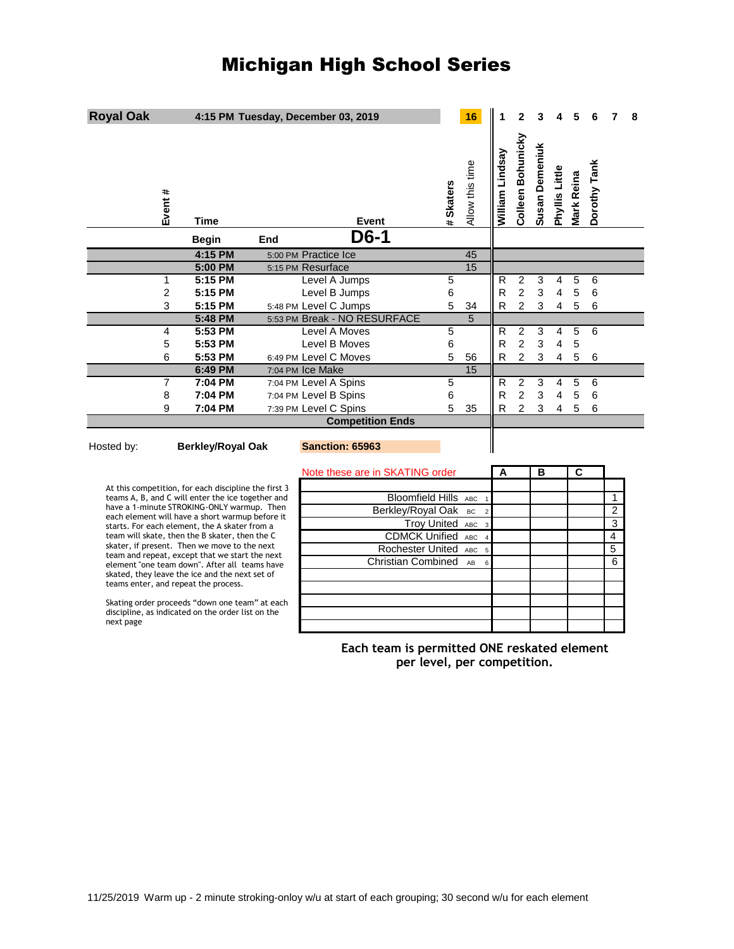## Michigan High School Series

| <b>Royal Oak</b>                                                                               |              |              |                                        | 4:15 PM Tuesday, December 03, 2019          |                             |                 | 16                   |                 | $\mathbf{2}$      |                |                |                |              |                | 8 |
|------------------------------------------------------------------------------------------------|--------------|--------------|----------------------------------------|---------------------------------------------|-----------------------------|-----------------|----------------------|-----------------|-------------------|----------------|----------------|----------------|--------------|----------------|---|
|                                                                                                | Event #      | <b>Time</b>  |                                        | Event                                       |                             | # Skaters       | Allow this time      | William Lindsay | Colleen Bohunicky | Susan Demeniuk | Phyllis Little | Mark Reina     | Dorothy Tank |                |   |
|                                                                                                |              | <b>Begin</b> | End                                    | D6-1                                        |                             |                 |                      |                 |                   |                |                |                |              |                |   |
|                                                                                                |              | 4:15 PM      |                                        | 5:00 PM Practice Ice                        |                             |                 | 45                   |                 |                   |                |                |                |              |                |   |
|                                                                                                |              | 5:00 PM      |                                        | 5:15 PM Resurface                           |                             |                 | 15                   |                 |                   |                |                |                |              |                |   |
|                                                                                                | $\mathbf{1}$ | 5:15 PM      |                                        | Level A Jumps                               |                             | $\overline{5}$  |                      | $\mathsf{R}$    | $\overline{2}$    | 3              | 4              | 5              | 6            |                |   |
|                                                                                                | 2            | 5:15 PM      |                                        | Level B Jumps                               |                             | 6               |                      | R               | $\overline{2}$    | 3              | $\overline{4}$ | 5              | 6            |                |   |
|                                                                                                | 3            | 5:15 PM      |                                        | 5:48 PM Level C Jumps                       |                             | 5               | 34                   | R               | $\overline{2}$    | 3              | 4              | 5              | 6            |                |   |
|                                                                                                |              | 5:48 PM      |                                        | 5:53 PM Break - NO RESURFACE                |                             |                 | $5\overline{5}$      |                 |                   |                |                |                |              |                |   |
|                                                                                                | 4            | 5:53 PM      |                                        | Level A Moves                               |                             | 5               |                      | $\mathsf{R}$    | 2                 | 3              | 4              | 5              | 6            |                |   |
|                                                                                                | 5            | 5:53 PM      |                                        | Level B Moves                               |                             | $6\phantom{1}6$ |                      | R               | $\overline{2}$    | 3              | 4              | 5              |              |                |   |
|                                                                                                | 6            | 5:53 PM      |                                        | 6:49 PM Level C Moves                       |                             | 5               | 56                   | R               | $\overline{2}$    | 3              | 4              | 5              | 6            |                |   |
|                                                                                                |              | 6:49 PM      |                                        | 7:04 PM Ice Make                            |                             |                 | 15                   |                 |                   |                |                |                |              |                |   |
|                                                                                                | 7            | 7:04 PM      |                                        | 7:04 PM Level A Spins                       |                             | 5               |                      | R               | 2                 | 3              | 4              | 5              | 6            |                |   |
|                                                                                                | 8            | 7:04 PM      |                                        | 7:04 PM Level B Spins                       |                             | 6               |                      | R               | $\overline{2}$    | 3              | 4              | 5              | 6            |                |   |
|                                                                                                | 9            | 7:04 PM      |                                        | 7:39 PM Level C Spins                       |                             | 5               | 35                   | R               | $\overline{2}$    | 3              | 4              | 5              | 6            |                |   |
|                                                                                                |              |              |                                        | <b>Competition Ends</b>                     |                             |                 |                      |                 |                   |                |                |                |              |                |   |
| Hosted by:<br><b>Berkley/Royal Oak</b>                                                         |              |              |                                        | <b>Sanction: 65963</b>                      |                             |                 |                      |                 |                   |                |                |                |              |                |   |
|                                                                                                |              |              |                                        | Note these are in SKATING order             |                             |                 |                      | A               |                   | в              |                | C              |              |                |   |
| At this competition, for each discipline the first 3                                           |              |              |                                        |                                             |                             |                 |                      |                 |                   |                |                |                |              |                |   |
| teams A, B, and C will enter the ice together and                                              |              |              |                                        | Bloomfield Hills ABC                        |                             | $\overline{1}$  |                      |                 |                   |                |                |                | 1            |                |   |
| have a 1-minute STROKING-ONLY warmup. Then<br>each element will have a short warmup before it  |              |              | Berkley/Royal Oak BC<br>$\overline{2}$ |                                             |                             |                 |                      |                 |                   |                |                | $\overline{2}$ |              |                |   |
| starts. For each element, the A skater from a                                                  |              |              |                                        |                                             | <b>Troy United ABC</b>      |                 | $\overline{3}$       |                 |                   |                |                |                |              | $\overline{3}$ |   |
| team will skate, then the B skater, then the C                                                 |              |              |                                        | <b>CDMCK Unified ABC</b><br>$\overline{4}$  |                             |                 |                      |                 |                   |                |                |                | 4            |                |   |
| skater, if present. Then we move to the next<br>team and repeat, except that we start the next |              |              |                                        | Rochester United<br>ABC<br>5                |                             |                 |                      |                 |                   |                |                |                | 5            |                |   |
| element "one team down". After all teams have                                                  |              |              |                                        |                                             | <b>Christian Combined</b>   |                 | AB<br>$6\phantom{a}$ |                 |                   |                |                |                |              | 6              |   |
| skated, they leave the ice and the next set of<br>teams enter, and repeat the process.         |              |              |                                        |                                             |                             |                 |                      |                 |                   |                |                |                |              |                |   |
|                                                                                                |              |              |                                        |                                             |                             |                 |                      |                 |                   |                |                |                |              |                |   |
| Skating order proceeds "down one team" at each                                                 |              |              |                                        |                                             |                             |                 |                      |                 |                   |                |                |                |              |                |   |
| discipline, as indicated on the order list on the<br>next page                                 |              |              |                                        |                                             |                             |                 |                      |                 |                   |                |                |                |              |                |   |
|                                                                                                |              |              |                                        |                                             |                             |                 |                      |                 |                   |                |                |                |              |                |   |
|                                                                                                |              |              |                                        | Each team is permitted ONE reskated element | per level, per competition. |                 |                      |                 |                   |                |                |                |              |                |   |